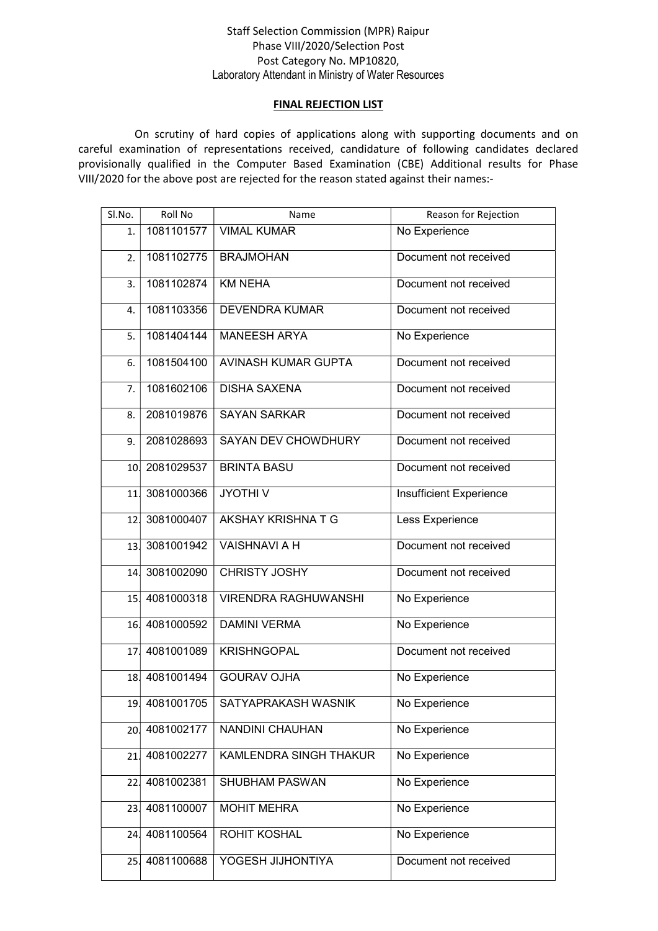## Staff Selection Commission (MPR) Raipur Phase VIII/2020/Selection Post Post Category No. MP10820, Laboratory Attendant in Ministry of Water Resources

## FINAL REJECTION LIST

 On scrutiny of hard copies of applications along with supporting documents and on careful examination of representations received, candidature of following candidates declared provisionally qualified in the Computer Based Examination (CBE) Additional results for Phase VIII/2020 for the above post are rejected for the reason stated against their names:-

| Sl.No. | Roll No        | Name                                                 | Reason for Rejection    |
|--------|----------------|------------------------------------------------------|-------------------------|
| 1.     | 1081101577     | <b>VIMAL KUMAR</b>                                   | No Experience           |
| 2.     | 1081102775     | <b>BRAJMOHAN</b>                                     | Document not received   |
| 3.     | 1081102874     | <b>KM NEHA</b>                                       | Document not received   |
| 4.     | 1081103356     | <b>DEVENDRA KUMAR</b>                                | Document not received   |
| 5.     | 1081404144     | <b>MANEESH ARYA</b>                                  | No Experience           |
| 6.     | 1081504100     | AVINASH KUMAR GUPTA                                  | Document not received   |
| 7.     | 1081602106     | <b>DISHA SAXENA</b>                                  | Document not received   |
| 8.     | 2081019876     | <b>SAYAN SARKAR</b>                                  | Document not received   |
| 9.     | 2081028693     | <b>SAYAN DEV CHOWDHURY</b>                           | Document not received   |
|        | 10. 2081029537 | <b>BRINTA BASU</b>                                   | Document not received   |
| 11.    | 3081000366     | <b>JYOTHIV</b>                                       | Insufficient Experience |
| 12.    | 3081000407     | AKSHAY KRISHNATG                                     | Less Experience         |
| 13.    | 3081001942     | <b>VAISHNAVI A H</b>                                 | Document not received   |
| 14.    | 3081002090     | <b>CHRISTY JOSHY</b>                                 | Document not received   |
|        | 15. 4081000318 | <b>VIRENDRA RAGHUWANSHI</b>                          | No Experience           |
|        | 16.4081000592  | <b>DAMINI VERMA</b>                                  | No Experience           |
| 17.    | 4081001089     | <b>KRISHNGOPAL</b>                                   | Document not received   |
|        | 18.4081001494  | <b>GOURAV OJHA</b>                                   | No Experience           |
|        |                | 19 4081001705   SATYAPRAKASH WASNIK<br>No Experience |                         |
| 20.    | 4081002177     | NANDINI CHAUHAN                                      | No Experience           |
| 21.    | 4081002277     | KAMLENDRA SINGH THAKUR                               | No Experience           |
| 22.    | 4081002381     | No Experience<br>SHUBHAM PASWAN                      |                         |
| 23.    | 4081100007     | No Experience<br><b>MOHIT MEHRA</b>                  |                         |
| 24.    | 4081100564     | <b>ROHIT KOSHAL</b>                                  | No Experience           |
| 25.    | 4081100688     | YOGESH JIJHONTIYA<br>Document not received           |                         |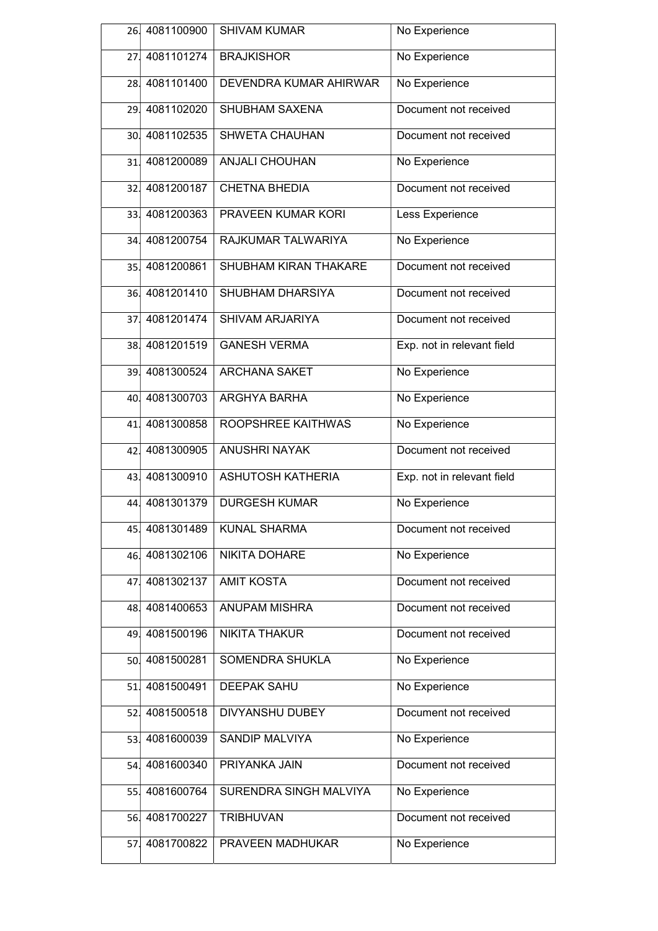| 26.             | 4081100900     | <b>SHIVAM KUMAR</b>                           | No Experience              |
|-----------------|----------------|-----------------------------------------------|----------------------------|
| 27.             | 4081101274     | <b>BRAJKISHOR</b>                             | No Experience              |
|                 | 28. 4081101400 | DEVENDRA KUMAR AHIRWAR                        | No Experience              |
| 29.             | 4081102020     | SHUBHAM SAXENA                                | Document not received      |
| 30.I            | 4081102535     | <b>SHWETA CHAUHAN</b>                         | Document not received      |
| 31.             | 4081200089     | <b>ANJALI CHOUHAN</b>                         | No Experience              |
| 32 <sub>1</sub> | 4081200187     | <b>CHETNA BHEDIA</b>                          | Document not received      |
| 33.             | 4081200363     | PRAVEEN KUMAR KORI                            | Less Experience            |
| 34.             | 4081200754     | RAJKUMAR TALWARIYA                            | No Experience              |
| 35.             | 4081200861     | SHUBHAM KIRAN THAKARE                         | Document not received      |
|                 | 36. 4081201410 | SHUBHAM DHARSIYA                              | Document not received      |
| 37.             | 4081201474     | SHIVAM ARJARIYA                               | Document not received      |
| 38.             | 4081201519     | <b>GANESH VERMA</b>                           | Exp. not in relevant field |
| 39.             | 4081300524     | <b>ARCHANA SAKET</b>                          | No Experience              |
| 40.             | 4081300703     | ARGHYA BARHA                                  | No Experience              |
| 41.             | 4081300858     | ROOPSHREE KAITHWAS                            | No Experience              |
| 42.             | 4081300905     | <b>ANUSHRI NAYAK</b>                          | Document not received      |
| 43.             | 4081300910     | <b>ASHUTOSH KATHERIA</b>                      | Exp. not in relevant field |
| 44.             | 4081301379     | <b>DURGESH KUMAR</b>                          | No Experience              |
| 45.             | 4081301489     | <b>KUNAL SHARMA</b>                           | Document not received      |
| 46.             | 4081302106     | NIKITA DOHARE<br>No Experience                |                            |
| 47.             | 4081302137     | <b>AMIT KOSTA</b>                             | Document not received      |
| 48.             | 4081400653     | <b>ANUPAM MISHRA</b>                          | Document not received      |
| 49.             | 4081500196     | <b>NIKITA THAKUR</b>                          | Document not received      |
| 50.             | 4081500281     | SOMENDRA SHUKLA<br>No Experience              |                            |
| 51              | 4081500491     | <b>DEEPAK SAHU</b>                            | No Experience              |
| 52.             | 4081500518     | DIVYANSHU DUBEY                               | Document not received      |
| 53              | 4081600039     | SANDIP MALVIYA                                | No Experience              |
| 54.             | 4081600340     | <b>PRIYANKA JAIN</b><br>Document not received |                            |
| 55.             | 4081600764     | SURENDRA SINGH MALVIYA<br>No Experience       |                            |
| 56.             | 4081700227     | <b>TRIBHUVAN</b>                              | Document not received      |
| 57.             | 4081700822     | PRAVEEN MADHUKAR<br>No Experience             |                            |